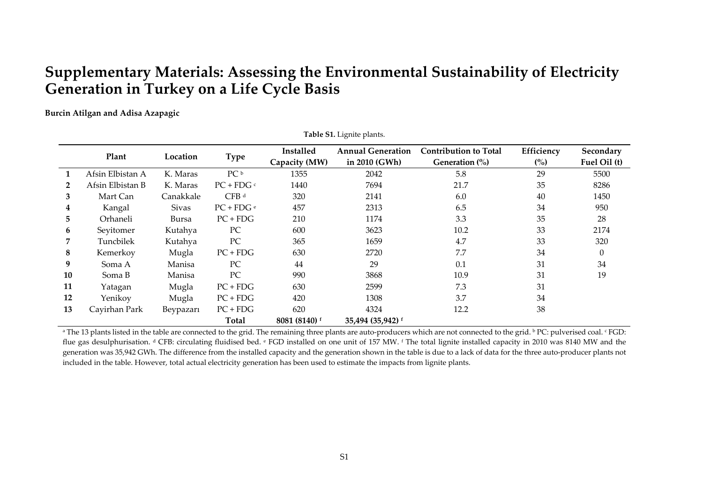## **Supplementary Materials: Assessing the Environmental Sustainability of Electricity Generation in Turkey on <sup>a</sup> Life Cycle Basis**

**Burcin Atilgan and Adisa Azapagic**

|              | Table S1. Lignite plants. |              |                  |                            |                                           |                                                          |                              |                           |  |  |
|--------------|---------------------------|--------------|------------------|----------------------------|-------------------------------------------|----------------------------------------------------------|------------------------------|---------------------------|--|--|
|              | Plant                     | Location     | <b>Type</b>      | Installed<br>Capacity (MW) | <b>Annual Generation</b><br>in 2010 (GWh) | <b>Contribution to Total</b><br>Generation $\frac{0}{0}$ | Efficiency<br>$\binom{0}{0}$ | Secondary<br>Fuel Oil (t) |  |  |
| 1            | Afsin Elbistan A          | K. Maras     | PC <sup>b</sup>  | 1355                       | 2042                                      | 5.8                                                      | 29                           | 5500                      |  |  |
| $\mathbf{2}$ | Afsin Elbistan B          | K. Maras     | $PC + FDG$       | 1440                       | 7694                                      | 21.7                                                     | 35                           | 8286                      |  |  |
| 3            | Mart Can                  | Canakkale    | CFB <sup>d</sup> | 320                        | 2141                                      | 6.0                                                      | 40                           | 1450                      |  |  |
| 4            | Kangal                    | <b>Sivas</b> | $PC + FDG e$     | 457                        | 2313                                      | 6.5                                                      | 34                           | 950                       |  |  |
| 5            | Orhaneli                  | Bursa        | $PC + FDG$       | 210                        | 1174                                      | 3.3                                                      | 35                           | 28                        |  |  |
| 6            | Seyitomer                 | Kutahya      | PC               | 600                        | 3623                                      | 10.2                                                     | 33                           | 2174                      |  |  |
| 7            | Tuncbilek                 | Kutahya      | PC               | 365                        | 1659                                      | 4.7                                                      | 33                           | 320                       |  |  |
| 8            | Kemerkoy                  | Mugla        | $PC + FDG$       | 630                        | 2720                                      | 7.7                                                      | 34                           | $\Omega$                  |  |  |
| 9            | Soma A                    | Manisa       | PC               | 44                         | 29                                        | 0.1                                                      | 31                           | 34                        |  |  |
| 10           | Soma B                    | Manisa       | PC               | 990                        | 3868                                      | 10.9                                                     | 31                           | 19                        |  |  |
| 11           | Yatagan                   | Mugla        | $PC + FDG$       | 630                        | 2599                                      | 7.3                                                      | 31                           |                           |  |  |
| 12           | Yenikoy                   | Mugla        | $PC + FDG$       | 420                        | 1308                                      | 3.7                                                      | 34                           |                           |  |  |
| 13           | Cayirhan Park             | Beypazarı    | $PC + FDG$       | 620                        | 4324                                      | 12.2                                                     | 38                           |                           |  |  |
|              |                           |              | Total            | 8081 (8140) f              | 35,494 (35,942) f                         |                                                          |                              |                           |  |  |

 $^{\text{a}}$  The 13 plants listed in the table are connected to the grid. The remaining three plants are auto-producers which are not connected to the grid.  $^{\text{b}}$  PC: pulverised coal.  $^{\text{c}}$  FGD: flue gas desulphurisation. d CFB: circulating fluidised bed. e FGD installed on one unit of 157 MW. f The total lignite installed capacity in 2010 was 8140 MW and the generation was 35,942 GWh. The difference from the installed capacity and the generation shown in the table is due to a lack of data for the three auto-producer plants not included in the table. However, total actual electricity generation has been used to estimate the impacts from lignite plants.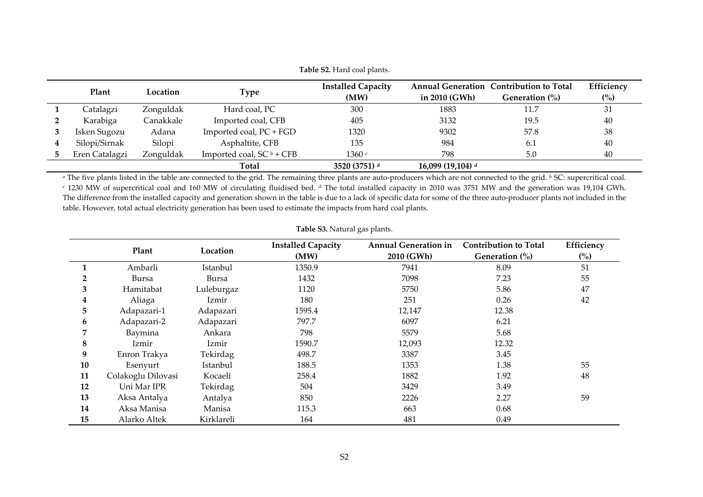| <b>Table S2.</b> Hard coal plants. |           |                             |                                   |                   |                                                              |                              |  |  |  |
|------------------------------------|-----------|-----------------------------|-----------------------------------|-------------------|--------------------------------------------------------------|------------------------------|--|--|--|
| Plant                              | Location  | Type                        | <b>Installed Capacity</b><br>(MW) | in $2010$ (GWh)   | Annual Generation Contribution to Total<br>Generation $(\%)$ | Efficiency<br>$\binom{0}{0}$ |  |  |  |
| Catalagzi                          | Zonguldak | Hard coal, PC               | 300                               | 1883              | 11.7                                                         | 31                           |  |  |  |
| Karabiga                           | Canakkale | Imported coal, CFB          | 405                               | 3132              | 19.5                                                         | 40                           |  |  |  |
| Isken Sugozu                       | Adana     | Imported coal, PC + FGD     | 1320                              | 9302              | 57.8                                                         | 38                           |  |  |  |
| Silopi/Sirnak                      | Silopi    | Asphaltite, CFB             | 135                               | 984               | 6.1                                                          | 40                           |  |  |  |
| Eren Catalagzi                     | Zonguldak | Imported coal, $SC^b + CFB$ | 1360 c                            | 798               | 5.0                                                          | 40                           |  |  |  |
|                                    |           | Total                       | 3520 (3751) d                     | 16,099 (19,104) d |                                                              |                              |  |  |  |

a The five plants listed in the table are connected to the grid. The remaining three plants are auto-producers which are not connected to the grid. b SC: supercritical coal.  $\cdot$  1230 MW of supercritical coal and 160 MW of circulating fluidised bed. d The total installed capacity in 2010 was 3751 MW and the generation was 19,104 GWh. The difference from the installed capacity and generation shown in the table is due to <sup>a</sup> lack of specific data for some of the three auto‐producer plants not included in the table. However, total actual electricity generation has been used to estimate the impacts from hard coal plants.

|    | Plant              | Location   | <b>Installed Capacity</b> | <b>Annual Generation in</b> | <b>Contribution to Total</b> | Efficiency     |
|----|--------------------|------------|---------------------------|-----------------------------|------------------------------|----------------|
|    |                    |            | (MW)                      | 2010 (GWh)                  | Generation $\frac{0}{0}$     | $\binom{0}{0}$ |
|    | Ambarli            | Istanbul   | 1350.9                    | 7941                        | 8.09                         | 51             |
| 2  | Bursa              | Bursa      | 1432                      | 7098                        | 7.23                         | 55             |
| 3  | Hamitabat          | Luleburgaz | 1120                      | 5750                        | 5.86                         | 47             |
| 4  | Aliaga             | Izmir      | 180                       | 251                         | 0.26                         | 42             |
| 5  | Adapazari-1        | Adapazari  | 1595.4                    | 12,147                      | 12.38                        |                |
| 6  | Adapazari-2        | Adapazari  | 797.7                     | 6097                        | 6.21                         |                |
| 7  | Baymina            | Ankara     | 798                       | 5579                        | 5.68                         |                |
| 8  | Izmir              | Izmir      | 1590.7                    | 12,093                      | 12.32                        |                |
| 9  | Enron Trakya       | Tekirdag   | 498.7                     | 3387                        | 3.45                         |                |
| 10 | Esenyurt           | Istanbul   | 188.5                     | 1353                        | 1.38                         | 55             |
| 11 | Colakoglu Dilovasi | Kocaeli    | 258.4                     | 1882                        | 1.92                         | 48             |
| 12 | Uni Mar IPR        | Tekirdag   | 504                       | 3429                        | 3.49                         |                |
| 13 | Aksa Antalya       | Antalya    | 850                       | 2226                        | 2.27                         | 59             |
| 14 | Aksa Manisa        | Manisa     | 115.3                     | 663                         | 0.68                         |                |
| 15 | Alarko Altek       | Kirklareli | 164                       | 481                         | 0.49                         |                |

## **Table S3.** Natural gas plants.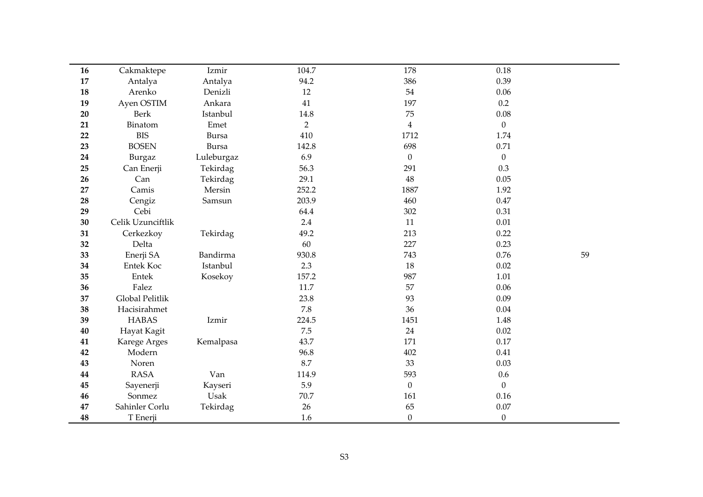| 16 | Cakmaktepe        | Izmir      | 104.7          | 178              | 0.18             |    |
|----|-------------------|------------|----------------|------------------|------------------|----|
| 17 | Antalya           | Antalya    | 94.2           | 386              | 0.39             |    |
| 18 | Arenko            | Denizli    | 12             | 54               | 0.06             |    |
| 19 | Ayen OSTIM        | Ankara     | 41             | 197              | 0.2              |    |
| 20 | <b>Berk</b>       | Istanbul   | $14.8\,$       | 75               | 0.08             |    |
| 21 | Binatom           | Emet       | $\overline{2}$ | $\overline{4}$   | $\theta$         |    |
| 22 | <b>BIS</b>        | Bursa      | 410            | 1712             | 1.74             |    |
| 23 | <b>BOSEN</b>      | Bursa      | 142.8          | 698              | 0.71             |    |
| 24 | <b>Burgaz</b>     | Luleburgaz | 6.9            | $\boldsymbol{0}$ | $\boldsymbol{0}$ |    |
| 25 | Can Enerji        | Tekirdag   | 56.3           | 291              | 0.3              |    |
| 26 | Can               | Tekirdag   | 29.1           | 48               | 0.05             |    |
| 27 | Camis             | Mersin     | 252.2          | 1887             | 1.92             |    |
| 28 | Cengiz            | Samsun     | 203.9          | 460              | 0.47             |    |
| 29 | Cebi              |            | 64.4           | 302              | 0.31             |    |
| 30 | Celik Uzunciftlik |            | 2.4            | 11               | $0.01\,$         |    |
| 31 | Cerkezkoy         | Tekirdag   | 49.2           | 213              | 0.22             |    |
| 32 | Delta             |            | 60             | 227              | 0.23             |    |
| 33 | Enerji SA         | Bandirma   | 930.8          | 743              | 0.76             | 59 |
| 34 | <b>Entek Koc</b>  | Istanbul   | 2.3            | 18               | 0.02             |    |
| 35 | Entek             | Kosekoy    | 157.2          | 987              | 1.01             |    |
| 36 | Falez             |            | 11.7           | 57               | 0.06             |    |
| 37 | Global Pelitlik   |            | 23.8           | 93               | 0.09             |    |
| 38 | Hacisirahmet      |            | 7.8            | 36               | 0.04             |    |
| 39 | <b>HABAS</b>      | Izmir      | 224.5          | 1451             | 1.48             |    |
| 40 | Hayat Kagit       |            | 7.5            | 24               | 0.02             |    |
| 41 | Karege Arges      | Kemalpasa  | 43.7           | 171              | 0.17             |    |
| 42 | Modern            |            | 96.8           | 402              | 0.41             |    |
| 43 | Noren             |            | 8.7            | 33               | 0.03             |    |
| 44 | <b>RASA</b>       | Van        | 114.9          | 593              | $0.6\,$          |    |
| 45 | Sayenerji         | Kayseri    | 5.9            | $\boldsymbol{0}$ | $\mathbf{0}$     |    |
| 46 | Sonmez            | Usak       | 70.7           | 161              | 0.16             |    |
| 47 | Sahinler Corlu    | Tekirdag   | 26             | 65               | $0.07\,$         |    |
| 48 | T Enerji          |            | 1.6            | $\boldsymbol{0}$ | $\boldsymbol{0}$ |    |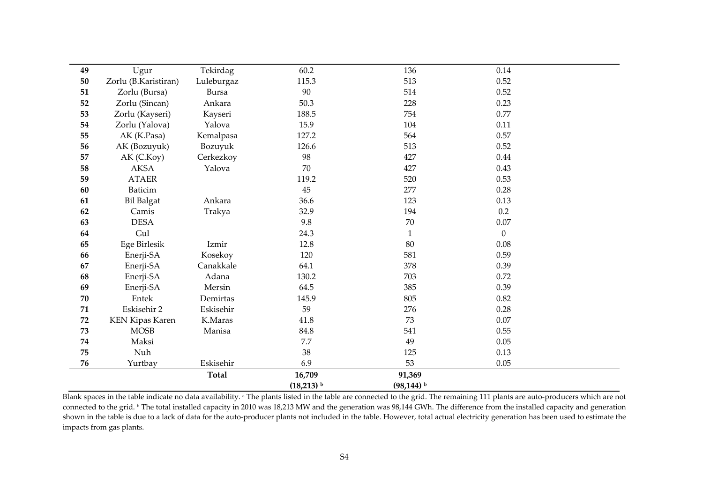| 49         | Ugur                   | Tekirdag   | 60.2                    | 136                      | 0.14           |  |
|------------|------------------------|------------|-------------------------|--------------------------|----------------|--|
| $50\,$     | Zorlu (B.Karistiran)   | Luleburgaz | 115.3                   | 513                      | 0.52           |  |
| 51         | Zorlu (Bursa)          | Bursa      | $90\,$                  | 514                      | 0.52           |  |
| 52         | Zorlu (Sincan)         | Ankara     | 50.3                    | 228                      | 0.23           |  |
| 53         | Zorlu (Kayseri)        | Kayseri    | 188.5                   | 754                      | 0.77           |  |
| 54         | Zorlu (Yalova)         | Yalova     | 15.9                    | 104                      | 0.11           |  |
| 55         | AK (K.Pasa)            | Kemalpasa  | 127.2                   | 564                      | 0.57           |  |
| 56         | AK (Bozuyuk)           | Bozuyuk    | 126.6                   | 513                      | 0.52           |  |
| 57         | AK (C.Koy)             | Cerkezkoy  | 98                      | 427                      | 0.44           |  |
| 58         | <b>AKSA</b>            | Yalova     | 70                      | 427                      | 0.43           |  |
| 59         | <b>ATAER</b>           |            | 119.2                   | 520                      | 0.53           |  |
| 60         | Baticim                |            | 45                      | 277                      | 0.28           |  |
| 61         | <b>Bil Balgat</b>      | Ankara     | 36.6                    | 123                      | 0.13           |  |
| 62         | Camis                  | Trakya     | 32.9                    | 194                      | 0.2            |  |
| 63         | <b>DESA</b>            |            | 9.8                     | $70\,$                   | 0.07           |  |
| 64         | Gul                    |            | 24.3                    | 1                        | $\overline{0}$ |  |
| 65         | Ege Birlesik           | Izmir      | 12.8                    | 80                       | 0.08           |  |
| 66         | Enerji-SA              | Kosekoy    | 120                     | 581                      | 0.59           |  |
| 67         | Enerji-SA              | Canakkale  | 64.1                    | 378                      | 0.39           |  |
| 68         | Enerji-SA              | Adana      | 130.2                   | 703                      | 0.72           |  |
| 69         | Enerji-SA              | Mersin     | 64.5                    | 385                      | 0.39           |  |
| $70\,$     | Entek                  | Demirtas   | 145.9                   | 805                      | 0.82           |  |
| $71\,$     | Eskisehir 2            | Eskisehir  | 59                      | 276                      | 0.28           |  |
| ${\bf 72}$ | <b>KEN Kipas Karen</b> | K.Maras    | 41.8                    | 73                       | 0.07           |  |
| 73         | <b>MOSB</b>            | Manisa     | 84.8                    | 541                      | 0.55           |  |
| $74\,$     | Maksi                  |            | 7.7                     | 49                       | 0.05           |  |
| 75         | Nuh                    |            | 38                      | 125                      | 0.13           |  |
| 76         | Yurtbay                | Eskisehir  | 6.9                     | 53                       | 0.05           |  |
|            |                        | Total      | 16,709                  | 91,369                   |                |  |
|            |                        |            | $(18,213)$ <sup>b</sup> | $(98, 144)$ <sup>b</sup> |                |  |

Blank spaces in the table indicate no data availability. <sup>a</sup> The plants listed in the table are connected to the grid. The remaining 111 plants are auto-producers which are not connected to the grid. b The total installed capacity in 2010 was 18,213 MW and the generation was 98,144 GWh. The difference from the installed capacity and generation shown in the table is due to <sup>a</sup> lack of data for the auto‐producer plants not included in the table. However, total actual electricity generation has been used to estimate the impacts from gas plants.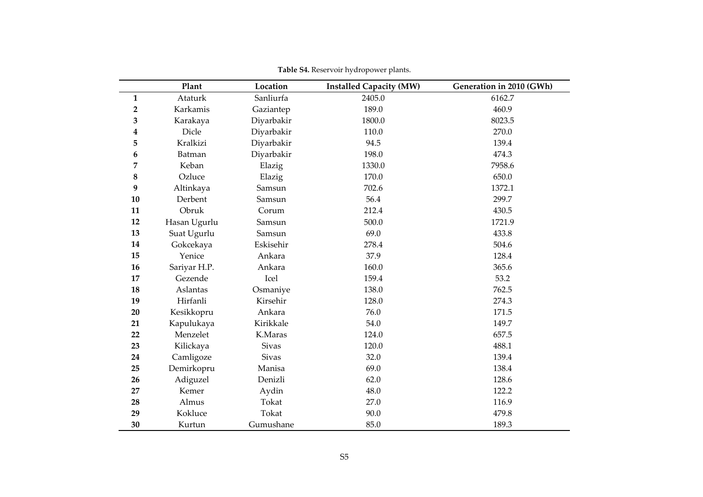|              | Plant        | Location     | <b>Installed Capacity (MW)</b> | Generation in 2010 (GWh) |
|--------------|--------------|--------------|--------------------------------|--------------------------|
| $\mathbf{1}$ | Ataturk      | Sanliurfa    | 2405.0                         | 6162.7                   |
| $\mathbf 2$  | Karkamis     | Gaziantep    | 189.0                          | 460.9                    |
| 3            | Karakaya     | Diyarbakir   | 1800.0                         | 8023.5                   |
| 4            | Dicle        | Diyarbakir   | 110.0                          | 270.0                    |
| 5            | Kralkizi     | Diyarbakir   | 94.5                           | 139.4                    |
| 6            | Batman       | Diyarbakir   | 198.0                          | 474.3                    |
| 7            | Keban        | Elazig       | 1330.0                         | 7958.6                   |
| 8            | Ozluce       | Elazig       | 170.0                          | 650.0                    |
| 9            | Altinkaya    | Samsun       | 702.6                          | 1372.1                   |
| 10           | Derbent      | Samsun       | 56.4                           | 299.7                    |
| 11           | Obruk        | Corum        | 212.4                          | 430.5                    |
| 12           | Hasan Ugurlu | Samsun       | 500.0                          | 1721.9                   |
| 13           | Suat Ugurlu  | Samsun       | 69.0                           | 433.8                    |
| 14           | Gokcekaya    | Eskisehir    | 278.4                          | 504.6                    |
| 15           | Yenice       | Ankara       | 37.9                           | 128.4                    |
| 16           | Sariyar H.P. | Ankara       | 160.0                          | 365.6                    |
| 17           | Gezende      | Icel         | 159.4                          | 53.2                     |
| 18           | Aslantas     | Osmaniye     | 138.0                          | 762.5                    |
| 19           | Hirfanli     | Kirsehir     | 128.0                          | 274.3                    |
| 20           | Kesikkopru   | Ankara       | 76.0                           | 171.5                    |
| 21           | Kapulukaya   | Kirikkale    | 54.0                           | 149.7                    |
| 22           | Menzelet     | K.Maras      | 124.0                          | 657.5                    |
| 23           | Kilickaya    | <b>Sivas</b> | 120.0                          | 488.1                    |
| 24           | Camligoze    | <b>Sivas</b> | 32.0                           | 139.4                    |
| 25           | Demirkopru   | Manisa       | 69.0                           | 138.4                    |
| 26           | Adiguzel     | Denizli      | 62.0                           | 128.6                    |
| 27           | Kemer        | Aydin        | 48.0                           | 122.2                    |
| 28           | Almus        | Tokat        | 27.0                           | 116.9                    |
| 29           | Kokluce      | Tokat        | 90.0                           | 479.8                    |
| 30           | Kurtun       | Gumushane    | 85.0                           | 189.3                    |

**Table S4.** Reservoir hydropower plants.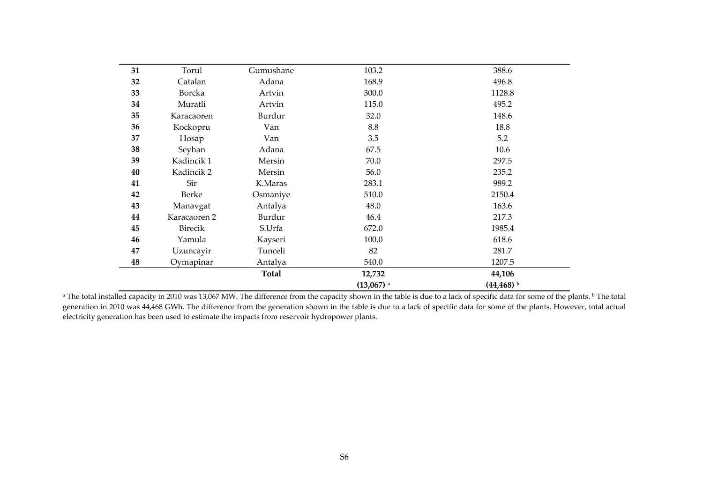|    |               |           | $(13,067)$ <sup>a</sup> | $(44, 468)$ <sup>b</sup> |
|----|---------------|-----------|-------------------------|--------------------------|
|    |               | Total     | 12,732                  | 44,106                   |
| 48 | Oymapinar     | Antalya   | 540.0                   | 1207.5                   |
| 47 | Uzuncayir     | Tunceli   | 82                      | 281.7                    |
| 46 | Yamula        | Kayseri   | 100.0                   | 618.6                    |
| 45 | Birecik       | S.Urfa    | 672.0                   | 1985.4                   |
| 44 | Karacaoren 2  | Burdur    | 46.4                    | 217.3                    |
| 43 | Manavgat      | Antalya   | 48.0                    | 163.6                    |
| 42 | <b>Berke</b>  | Osmaniye  | 510.0                   | 2150.4                   |
| 41 | Sir           | K.Maras   | 283.1                   | 989.2                    |
| 40 | Kadincik 2    | Mersin    | 56.0                    | 235.2                    |
| 39 | Kadincik 1    | Mersin    | 70.0                    | 297.5                    |
| 38 | Seyhan        | Adana     | 67.5                    | 10.6                     |
| 37 | Hosap         | Van       | 3.5                     | 5.2                      |
| 36 | Kockopru      | Van       | 8.8                     | 18.8                     |
| 35 | Karacaoren    | Burdur    | 32.0                    | 148.6                    |
| 34 | Muratli       | Artvin    | 115.0                   | 495.2                    |
| 33 | <b>Borcka</b> | Artvin    | 300.0                   | 1128.8                   |
| 32 | Catalan       | Adana     | 168.9                   | 496.8                    |
| 31 | Torul         | Gumushane | 103.2                   | 388.6                    |

<sup>a</sup> The total installed capacity in 2010 was 13,067 MW. The difference from the capacity shown in the table is due to a lack of specific data for some of the plants. <sup>b</sup> The total generation in 2010 was 44,468 GWh. The difference from the generation shown in the table is due to <sup>a</sup> lack of specific data for some of the plants. However, total actual electricity generation has been used to estimate the impacts from reservoir hydropower plants.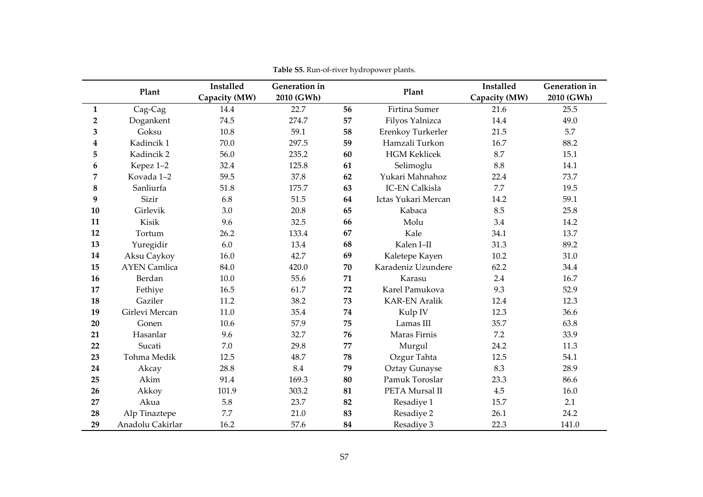|                | Plant               | <b>Installed</b> | Generation in |    | Plant                 | Installed     | Generation in |
|----------------|---------------------|------------------|---------------|----|-----------------------|---------------|---------------|
|                |                     | Capacity (MW)    | 2010 (GWh)    |    |                       | Capacity (MW) | 2010 (GWh)    |
| $\mathbf{1}$   | Cag-Cag             | 14.4             | 22.7          | 56 | Firtina Sumer         | 21.6          | 25.5          |
| $\overline{2}$ | Dogankent           | 74.5             | 274.7         | 57 | Filyos Yalnizca       | 14.4          | 49.0          |
| 3              | Goksu               | 10.8             | 59.1          | 58 | Erenkoy Turkerler     | 21.5          | 5.7           |
| 4              | Kadincik 1          | 70.0             | 297.5         | 59 | Hamzali Turkon        | 16.7          | 88.2          |
| 5              | Kadincik 2          | 56.0             | 235.2         | 60 | <b>HGM Keklicek</b>   | 8.7           | 15.1          |
| 6              | Kepez 1-2           | 32.4             | 125.8         | 61 | Selimoglu             | 8.8           | 14.1          |
| 7              | Kovada 1-2          | 59.5             | 37.8          | 62 | Yukari Mahnahoz       | 22.4          | 73.7          |
| $\bf 8$        | Sanliurfa           | 51.8             | 175.7         | 63 | <b>IC-EN Calkisla</b> | 7.7           | 19.5          |
| 9              | Sizir               | 6.8              | 51.5          | 64 | Ictas Yukari Mercan   | 14.2          | 59.1          |
| 10             | Girlevik            | 3.0              | 20.8          | 65 | Kabaca                | 8.5           | 25.8          |
| 11             | Kisik               | 9.6              | 32.5          | 66 | Molu                  | 3.4           | 14.2          |
| 12             | Tortum              | 26.2             | 133.4         | 67 | Kale                  | 34.1          | 13.7          |
| 13             | Yuregidir           | 6.0              | 13.4          | 68 | Kalen I-II            | 31.3          | 89.2          |
| 14             | Aksu Caykoy         | 16.0             | 42.7          | 69 | Kaletepe Kayen        | 10.2          | 31.0          |
| 15             | <b>AYEN</b> Camlica | 84.0             | 420.0         | 70 | Karadeniz Uzundere    | 62.2          | 34.4          |
| 16             | Berdan              | 10.0             | 55.6          | 71 | Karasu                | 2.4           | 16.7          |
| 17             | Fethiye             | 16.5             | 61.7          | 72 | Karel Pamukova        | 9.3           | 52.9          |
| 18             | Gaziler             | 11.2             | 38.2          | 73 | <b>KAR-EN Aralik</b>  | 12.4          | 12.3          |
| 19             | Girlevi Mercan      | 11.0             | 35.4          | 74 | Kulp IV               | 12.3          | 36.6          |
| 20             | Gonen               | 10.6             | 57.9          | 75 | Lamas III             | 35.7          | 63.8          |
| 21             | Hasanlar            | 9.6              | 32.7          | 76 | Maras Firnis          | 7.2           | 33.9          |
| 22             | Sucati              | 7.0              | 29.8          | 77 | Murgul                | 24.2          | 11.3          |
| 23             | Tohma Medik         | 12.5             | 48.7          | 78 | Ozgur Tahta           | 12.5          | 54.1          |
| 24             | Akcay               | 28.8             | 8.4           | 79 | Oztay Gunayse         | 8.3           | 28.9          |
| 25             | Akim                | 91.4             | 169.3         | 80 | Pamuk Toroslar        | 23.3          | 86.6          |
| 26             | Akkoy               | 101.9            | 303.2         | 81 | PETA Mursal II        | 4.5           | 16.0          |
| 27             | Akua                | 5.8              | 23.7          | 82 | Resadiye 1            | 15.7          | 2.1           |
| 28             | Alp Tinaztepe       | 7.7              | 21.0          | 83 | Resadiye 2            | 26.1          | 24.2          |
| 29             | Anadolu Cakirlar    | 16.2             | 57.6          | 84 | Resadive 3            | 22.3          | 141.0         |

**Table S5.** Run‐of‐river hydropower plants.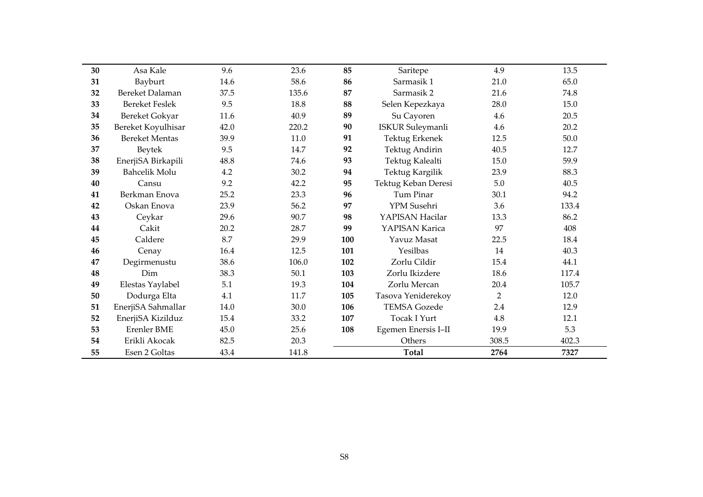| 30 | Asa Kale              | 9.6  | 23.6  | 85  | Saritepe                | 4.9            | 13.5  |
|----|-----------------------|------|-------|-----|-------------------------|----------------|-------|
| 31 | Bayburt               | 14.6 | 58.6  | 86  | Sarmasik 1              | 21.0           | 65.0  |
| 32 | Bereket Dalaman       | 37.5 | 135.6 | 87  | Sarmasik 2              | 21.6           | 74.8  |
| 33 | <b>Bereket Feslek</b> | 9.5  | 18.8  | 88  | Selen Kepezkaya         | 28.0           | 15.0  |
| 34 | Bereket Gokyar        | 11.6 | 40.9  | 89  | Su Cayoren              | 4.6            | 20.5  |
| 35 | Bereket Koyulhisar    | 42.0 | 220.2 | 90  | <b>ISKUR Suleymanli</b> | 4.6            | 20.2  |
| 36 | <b>Bereket Mentas</b> | 39.9 | 11.0  | 91  | Tektug Erkenek          | 12.5           | 50.0  |
| 37 | <b>Beytek</b>         | 9.5  | 14.7  | 92  | Tektug Andirin          | 40.5           | 12.7  |
| 38 | EnerjiSA Birkapili    | 48.8 | 74.6  | 93  | Tektug Kalealti         | 15.0           | 59.9  |
| 39 | <b>Bahcelik Molu</b>  | 4.2  | 30.2  | 94  | Tektug Kargilik         | 23.9           | 88.3  |
| 40 | Cansu                 | 9.2  | 42.2  | 95  | Tektug Keban Deresi     | 5.0            | 40.5  |
| 41 | Berkman Enova         | 25.2 | 23.3  | 96  | Tum Pinar               | 30.1           | 94.2  |
| 42 | Oskan Enova           | 23.9 | 56.2  | 97  | YPM Susehri             | 3.6            | 133.4 |
| 43 | Ceykar                | 29.6 | 90.7  | 98  | YAPISAN Hacilar         | 13.3           | 86.2  |
| 44 | Cakit                 | 20.2 | 28.7  | 99  | YAPISAN Karica          | 97             | 408   |
| 45 | Caldere               | 8.7  | 29.9  | 100 | Yavuz Masat             | 22.5           | 18.4  |
| 46 | Cenay                 | 16.4 | 12.5  | 101 | Yesilbas                | 14             | 40.3  |
| 47 | Degirmenustu          | 38.6 | 106.0 | 102 | Zorlu Cildir            | 15.4           | 44.1  |
| 48 | Dim                   | 38.3 | 50.1  | 103 | Zorlu Ikizdere          | 18.6           | 117.4 |
| 49 | Elestas Yaylabel      | 5.1  | 19.3  | 104 | Zorlu Mercan            | 20.4           | 105.7 |
| 50 | Dodurga Elta          | 4.1  | 11.7  | 105 | Tasova Yeniderekoy      | $\overline{2}$ | 12.0  |
| 51 | EnerjiSA Sahmallar    | 14.0 | 30.0  | 106 | <b>TEMSA Gozede</b>     | 2.4            | 12.9  |
| 52 | EnerjiSA Kizilduz     | 15.4 | 33.2  | 107 | <b>Tocak I Yurt</b>     | 4.8            | 12.1  |
| 53 | <b>Erenler BME</b>    | 45.0 | 25.6  | 108 | Egemen Enersis I-II     | 19.9           | 5.3   |
| 54 | Erikli Akocak         | 82.5 | 20.3  |     | Others                  | 308.5          | 402.3 |
|    |                       |      |       |     |                         |                |       |
| 55 | Esen 2 Goltas         | 43.4 | 141.8 |     | <b>Total</b>            | 2764           | 7327  |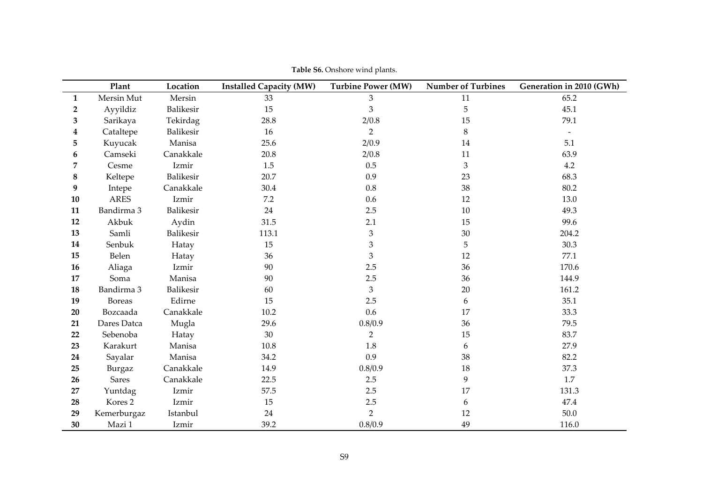|              | Plant              | Location         | <b>Installed Capacity (MW)</b> | <b>Turbine Power (MW)</b> | <b>Number of Turbines</b> | Generation in 2010 (GWh) |
|--------------|--------------------|------------------|--------------------------------|---------------------------|---------------------------|--------------------------|
| $\mathbf{1}$ | Mersin Mut         | Mersin           | 33                             | 3                         | 11                        | 65.2                     |
| 2            | Ayyildiz           | Balikesir        | 15                             | 3                         | 5                         | 45.1                     |
| 3            | Sarikaya           | Tekirdag         | 28.8                           | 2/0.8                     | 15                        | 79.1                     |
| 4            | Cataltepe          | <b>Balikesir</b> | 16                             | $\overline{2}$            | $8\,$                     | $\overline{\phantom{a}}$ |
| 5            | Kuyucak            | Manisa           | 25.6                           | 2/0.9                     | 14                        | 5.1                      |
| 6            | Camseki            | Canakkale        | 20.8                           | 2/0.8                     | 11                        | 63.9                     |
| 7            | Cesme              | Izmir            | 1.5                            | 0.5                       | $\mathfrak{Z}$            | 4.2                      |
| 8            | Keltepe            | Balikesir        | 20.7                           | 0.9                       | 23                        | 68.3                     |
| 9            | Intepe             | Canakkale        | 30.4                           | $0.8\,$                   | 38                        | 80.2                     |
| 10           | <b>ARES</b>        | Izmir            | 7.2                            | 0.6                       | 12                        | 13.0                     |
| 11           | Bandirma 3         | Balikesir        | 24                             | 2.5                       | 10                        | 49.3                     |
| 12           | Akbuk              | Aydin            | 31.5                           | 2.1                       | 15                        | 99.6                     |
| 13           | Samli              | Balikesir        | 113.1                          | 3                         | 30                        | 204.2                    |
| 14           | Senbuk             | Hatay            | 15                             | 3                         | 5                         | 30.3                     |
| 15           | Belen              | Hatay            | 36                             | 3                         | 12                        | 77.1                     |
| 16           | Aliaga             | Izmir            | 90                             | 2.5                       | 36                        | 170.6                    |
| 17           | Soma               | Manisa           | 90                             | 2.5                       | 36                        | 144.9                    |
| 18           | Bandirma 3         | Balikesir        | 60                             | 3                         | 20                        | 161.2                    |
| 19           | <b>Boreas</b>      | Edirne           | 15                             | 2.5                       | 6                         | 35.1                     |
| 20           | Bozcaada           | Canakkale        | 10.2                           | 0.6                       | 17                        | 33.3                     |
| 21           | Dares Datca        | Mugla            | 29.6                           | 0.8/0.9                   | 36                        | 79.5                     |
| 22           | Sebenoba           | Hatay            | 30                             | $\overline{2}$            | 15                        | 83.7                     |
| 23           | Karakurt           | Manisa           | 10.8                           | 1.8                       | 6                         | 27.9                     |
| 24           | Sayalar            | Manisa           | 34.2                           | 0.9                       | 38                        | 82.2                     |
| 25           | Burgaz             | Canakkale        | 14.9                           | 0.8/0.9                   | 18                        | 37.3                     |
| 26           | <b>Sares</b>       | Canakkale        | 22.5                           | 2.5                       | 9                         | 1.7                      |
| 27           | Yuntdag            | Izmir            | 57.5                           | 2.5                       | 17                        | 131.3                    |
| 28           | Kores <sub>2</sub> | Izmir            | 15                             | 2.5                       | 6                         | 47.4                     |
| 29           | Kemerburgaz        | Istanbul         | 24                             | $\overline{2}$            | 12                        | 50.0                     |
| 30           | Mazi 1             | Izmir            | 39.2                           | 0.8/0.9                   | 49                        | 116.0                    |

**Table S6.** Onshore wind plants.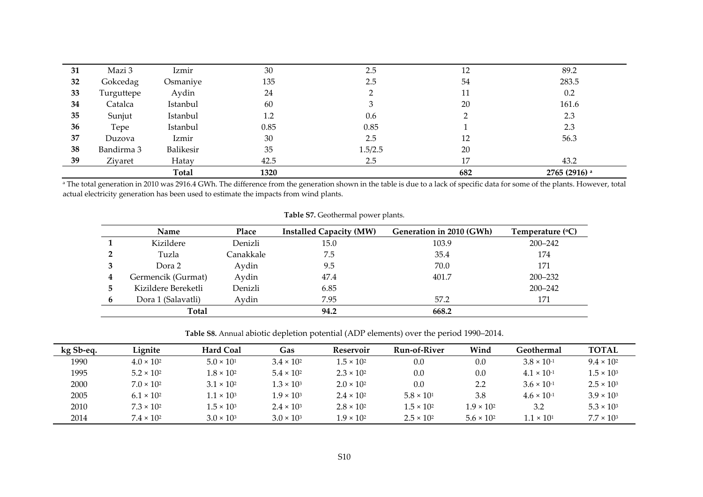| 31 | Mazi 3     | Izmir            | 30   | 2.5     | 12  | 89.2          |
|----|------------|------------------|------|---------|-----|---------------|
| 32 | Gokcedag   | Osmaniye         | 135  | 2.5     | 54  | 283.5         |
| 33 | Turguttepe | Aydin            | 24   |         | 11  | 0.2           |
| 34 | Catalca    | Istanbul         | 60   |         | 20  | 161.6         |
| 35 | Sunjut     | Istanbul         | 1.2  | 0.6     |     | 2.3           |
| 36 | Tepe       | Istanbul         | 0.85 | 0.85    |     | 2.3           |
| 37 | Duzova     | Izmir            | 30   | 2.5     | 12  | 56.3          |
| 38 | Bandirma 3 | <b>Balikesir</b> | 35   | 1.5/2.5 | 20  |               |
| 39 | Ziyaret    | Hatay            | 42.5 | 2.5     | 17  | 43.2          |
|    |            | <b>Total</b>     | 1320 |         | 682 | 2765 (2916) a |

 $^{\rm a}$  The total generation in 2010 was 2916.4 GWh. The difference from the generation shown in the table is due to a lack of specific data for some of the plants. However, total actual electricity generation has been used to estimate the impacts from wind plants.

|              | <b>Name</b>         | Place     | <b>Installed Capacity (MW)</b> | Generation in 2010 (GWh) | Temperature $({}^{\circ}C)$ |
|--------------|---------------------|-----------|--------------------------------|--------------------------|-----------------------------|
|              | Kizildere           | Denizli   | 15.0                           | 103.9                    | $200 - 242$                 |
|              | Tuzla               | Canakkale | 7.5                            | 35.4                     | 174                         |
|              | Dora 2              | Aydin     | 9.5                            | 70.0                     | 171                         |
| 4            | Germencik (Gurmat)  | Aydin     | 47.4                           | 401.7                    | $200 - 232$                 |
| $\mathbf{b}$ | Kizildere Bereketli | Denizli   | 6.85                           |                          | $200 - 242$                 |
| 6            | Dora 1 (Salavatli)  | Aydin     | 7.95                           | 57.2                     | 171                         |
|              | Total               |           | 94.2                           | 668.2                    |                             |

**Table S7.** Geothermal power plants.

**Table S8.** Annual abiotic depletion potential (ADP elements) over the period 1990–2014.

| kg Sb-eq. | Lignite             | <b>Hard Coal</b>    | Gas                 | Reservoir           | Run-of-River        | Wind                | Geothermal           | <b>TOTAL</b>        |
|-----------|---------------------|---------------------|---------------------|---------------------|---------------------|---------------------|----------------------|---------------------|
| 1990      | $4.0 \times 10^{2}$ | $5.0 \times 10^{1}$ | $3.4 \times 10^{2}$ | $1.5 \times 10^{2}$ | 0.0                 | 0.0                 | $3.8 \times 10^{-1}$ | $9.4 \times 10^{2}$ |
| 1995      | $5.2 \times 10^{2}$ | $1.8 \times 10^{2}$ | $5.4 \times 10^{2}$ | $2.3 \times 10^{2}$ | 0.0                 | 0.0                 | $4.1 \times 10^{-1}$ | $1.5 \times 10^{3}$ |
| 2000      | $7.0 \times 10^{2}$ | $3.1 \times 10^{2}$ | $3 \times 10^3$     | $2.0 \times 10^{2}$ | 0.0                 | 2.2                 | $3.6 \times 10^{-1}$ | $2.5 \times 10^{3}$ |
| 2005      | $6.1 \times 10^{2}$ | $1.1 \times 10^{3}$ | $1.9 \times 10^{3}$ | $2.4 \times 10^{2}$ | $5.8 \times 10^{1}$ | 3.8                 | $4.6 \times 10^{-1}$ | $3.9 \times 10^{3}$ |
| 2010      | $7.3 \times 10^{2}$ | $1.5 \times 10^3$   | $2.4 \times 10^{3}$ | $2.8 \times 10^{2}$ | $1.5 \times 10^{2}$ | $1.9 \times 10^{2}$ | 3.2                  | $5.3 \times 10^{3}$ |
| 2014      | $7.4 \times 10^{2}$ | $3.0 \times 10^{3}$ | $3.0 \times 10^{3}$ | $1.9 \times 10^{2}$ | $2.5 \times 10^{2}$ | $5.6 \times 10^{2}$ | $1.1 \times 10^{1}$  | $7.7 \times 10^{3}$ |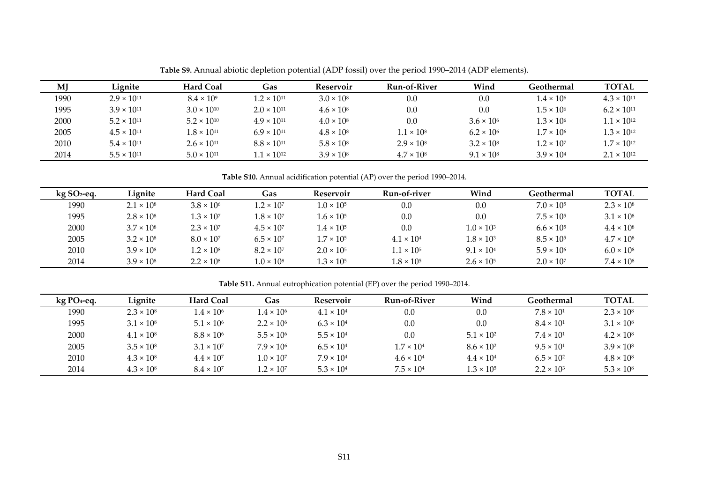| MJ   | Lignite              | <b>Hard Coal</b>     | <b>Gas</b>           | Reservoir           | Run-of-River      | Wind                | Geothermal          | <b>TOTAL</b>         |
|------|----------------------|----------------------|----------------------|---------------------|-------------------|---------------------|---------------------|----------------------|
| 1990 | $2.9 \times 10^{11}$ | $8.4 \times 10^{9}$  | $1.2 \times 10^{11}$ | $3.0 \times 10^8$   | 0.0               | 0.0                 | $1.4 \times 10^{6}$ | $4.3 \times 10^{11}$ |
| 1995 | $3.9 \times 10^{11}$ | $3.0 \times 10^{10}$ | $2.0 \times 10^{11}$ | $4.6 \times 10^8$   | 0.0               | 0.0                 | $1.5 \times 10^{6}$ | $6.2 \times 10^{11}$ |
| 2000 | $5.2 \times 10^{11}$ | $5.2 \times 10^{10}$ | $4.9 \times 10^{11}$ | $4.0 \times 10^8$   | 0.0               | $3.6 \times 10^{6}$ | $1.3 \times 10^{6}$ | $1.1 \times 10^{12}$ |
| 2005 | $4.5 \times 10^{11}$ | $1.8 \times 10^{11}$ | $6.9 \times 10^{11}$ | $4.8 \times 10^{8}$ | $1.1 \times 10^8$ | $6.2 \times 10^{6}$ | $1.7 \times 10^{6}$ | $1.3 \times 10^{12}$ |
| 2010 | $5.4 \times 10^{11}$ | $2.6 \times 10^{11}$ | $8.8 \times 10^{11}$ | $5.8 \times 10^8$   | $2.9 \times 10^8$ | $3.2 \times 10^8$   | $1.2 \times 10^{7}$ | $1.7 \times 10^{12}$ |
| 2014 | $5.5 \times 10^{11}$ | $5.0 \times 10^{11}$ | $1.1 \times 10^{12}$ | $3.9 \times 10^{8}$ | $4.7 \times 10^8$ | $9.1 \times 10^8$   | $3.9 \times 10^{4}$ | $2.1 \times 10^{12}$ |

**Table S9.** Annual abiotic depletion potential (ADP fossil) over the period 1990–2014 (ADP elements).

**Table S10.** Annual acidification potential (AP) over the period 1990–2014.

| $kg$ SO <sub>2</sub> -eq. | Lignite           | <b>Hard Coal</b>    | Gas                 | Reservoir           | Run-of-river        | Wind                | Geothermal          | TOTAL               |
|---------------------------|-------------------|---------------------|---------------------|---------------------|---------------------|---------------------|---------------------|---------------------|
| 1990                      | $2.1 \times 10^8$ | $3.8 \times 10^{6}$ | $1.2 \times 10^{7}$ | $1.0 \times 10^{5}$ | 0.0                 | 0.0                 | $7.0 \times 10^{5}$ | $2.3 \times 10^8$   |
| 1995                      | $2.8 \times 10^8$ | $1.3 \times 10^{7}$ | $1.8 \times 10^{7}$ | $1.6 \times 10^{5}$ | 0.0                 | 0.0                 | $7.5 \times 10^{5}$ | $3.1 \times 10^8$   |
| 2000                      | $3.7 \times 10^8$ | $2.3 \times 10^{7}$ | $4.5 \times 10^{7}$ | $1.4 \times 10^{5}$ | 0.0                 | $1.0 \times 10^{3}$ | $6.6 \times 10^{5}$ | $4.4 \times 10^{8}$ |
| 2005                      | $3.2 \times 10^8$ | $8.0 \times 10^{7}$ | $6.5 \times 10^{7}$ | $1.7 \times 10^{5}$ | $4.1 \times 10^{4}$ | $1.8 \times 10^{3}$ | $8.5 \times 10^{5}$ | $4.7 \times 10^{8}$ |
| 2010                      | $3.9 \times 10^8$ | $1.2 \times 10^8$   | $8.2 \times 10^{7}$ | $2.0 \times 10^{5}$ | $1.1 \times 10^{5}$ | $9.1 \times 10^{4}$ | $5.9 \times 10^{6}$ | $6.0 \times 10^8$   |
| 2014                      | $3.9 \times 10^8$ | $2.2 \times 10^8$   | $1.0 \times 10^{8}$ | $1.3 \times 10^{5}$ | $1.8 \times 10^{5}$ | $2.6 \times 10^{5}$ | $2.0 \times 10^{7}$ | $7.4 \times 10^8$   |

**Table S11.** Annual eutrophication potential (EP) over the period 1990–2014.

| $kg$ PO <sub>4</sub> -eq. | Lignite             | <b>Hard Coal</b>    | Gas                 | Reservoir           | Run-of-River        | Wind                | Geothermal          | <b>TOTAL</b>        |
|---------------------------|---------------------|---------------------|---------------------|---------------------|---------------------|---------------------|---------------------|---------------------|
| 1990                      | $2.3 \times 10^8$   | $1.4 \times 10^{6}$ | $1.4 \times 10^{6}$ | $4.1 \times 10^{4}$ | 0.0                 | 0.0                 | $7.8 \times 10^{1}$ | $2.3 \times 10^8$   |
| 1995                      | $3.1 \times 10^8$   | $5.1 \times 10^{6}$ | $2.2 \times 10^{6}$ | $6.3 \times 10^{4}$ | 0.0                 | 0.0                 | $8.4 \times 10^{1}$ | $3.1 \times 10^8$   |
| 2000                      | $4.1 \times 10^{8}$ | $8.8 \times 10^{6}$ | $5.5 \times 10^{6}$ | $5.5 \times 10^{4}$ | 0.0                 | $5.1 \times 10^{2}$ | $7.4 \times 10^{1}$ | $4.2 \times 10^8$   |
| 2005                      | $3.5 \times 10^8$   | $3.1 \times 10^{7}$ | $7.9 \times 10^{6}$ | $6.5 \times 10^{4}$ | $1.7 \times 10^{4}$ | $8.6 \times 10^{2}$ | $9.5 \times 10^{1}$ | $3.9 \times 10^{8}$ |
| 2010                      | $4.3 \times 10^8$   | $4.4 \times 10^{7}$ | $1.0 \times 10^{7}$ | $7.9 \times 10^{4}$ | $4.6 \times 10^{4}$ | $4.4 \times 10^{4}$ | $6.5 \times 10^{2}$ | $4.8 \times 10^{8}$ |
| 2014                      | $4.3 \times 10^8$   | $8.4 \times 10^{7}$ | $1.2 \times 10^{7}$ | $5.3 \times 10^{4}$ | $7.5 \times 10^{4}$ | $1.3 \times 10^{5}$ | $2.2 \times 10^{3}$ | $5.3 \times 10^8$   |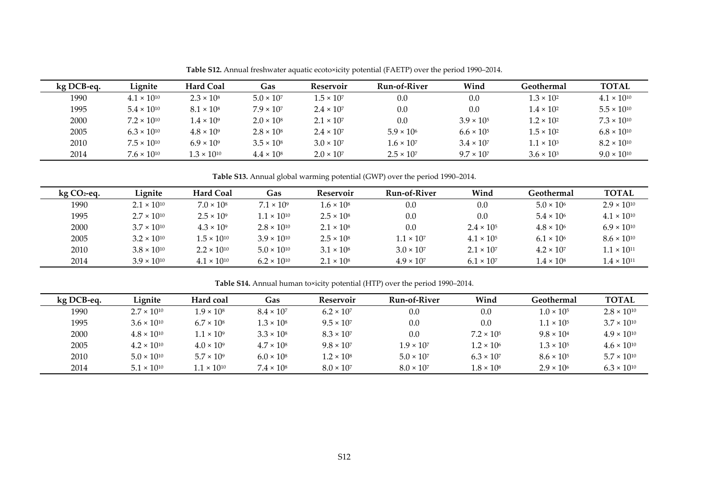| kg DCB-eq. | Lignite              | <b>Hard Coal</b>     | Gas                 | Reservoir           | Run-of-River        | Wind                | Geothermal          | <b>TOTAL</b>         |
|------------|----------------------|----------------------|---------------------|---------------------|---------------------|---------------------|---------------------|----------------------|
| 1990       | $4.1 \times 10^{10}$ | $2.3 \times 10^8$    | $5.0 \times 10^{7}$ | $1.5 \times 10^{7}$ | 0.0                 | 0.0                 | $1.3 \times 10^{2}$ | $4.1 \times 10^{10}$ |
| 1995       | $5.4 \times 10^{10}$ | $8.1 \times 10^8$    | $7.9 \times 10^{7}$ | $2.4 \times 10^{7}$ | 0.0                 | 0.0                 | $1.4 \times 10^{2}$ | $5.5 \times 10^{10}$ |
| 2000       | $7.2 \times 10^{10}$ | $1.4 \times 10^{9}$  | $2.0 \times 10^8$   | $2.1 \times 10^{7}$ | 0.0                 | $3.9 \times 10^{5}$ | $1.2 \times 10^{2}$ | $7.3 \times 10^{10}$ |
| 2005       | $6.3 \times 10^{10}$ | $4.8 \times 10^{9}$  | $2.8 \times 10^8$   | $2.4 \times 10^{7}$ | $5.9 \times 10^{6}$ | $6.6 \times 10^{5}$ | $1.5 \times 10^{2}$ | $6.8 \times 10^{10}$ |
| 2010       | $7.5 \times 10^{10}$ | $6.9 \times 10^{9}$  | $3.5 \times 10^8$   | $3.0 \times 10^{7}$ | $1.6 \times 10^{7}$ | $3.4 \times 10^{7}$ | $1.1 \times 10^{3}$ | $8.2 \times 10^{10}$ |
| 2014       | $7.6 \times 10^{10}$ | $1.3 \times 10^{10}$ | $4.4 \times 10^8$   | $2.0 \times 10^{7}$ | $2.5 \times 10^{7}$ | $9.7 \times 10^{7}$ | $3.6 \times 10^{3}$ | $9.0 \times 10^{10}$ |

**Table S12.** Annual freshwater aquatic ecoto×icity potential (FAETP) over the period 1990–2014.

**Table S13.** Annual global warming potential (GWP) over the period 1990–2014.

| $kg CO2$ -eq. | Lignite              | <b>Hard Coal</b>     | Gas                  | Reservoir         | Run-of-River        | Wind                | Geothermal          | <b>TOTAL</b>         |
|---------------|----------------------|----------------------|----------------------|-------------------|---------------------|---------------------|---------------------|----------------------|
| 1990          | $2.1 \times 10^{10}$ | $7.0 \times 10^8$    | $7.1 \times 10^9$    | $1.6 \times 10^8$ | 0.0                 | 0.0                 | $5.0 \times 10^{6}$ | $2.9 \times 10^{10}$ |
| 1995          | $2.7 \times 10^{10}$ | $2.5 \times 10^9$    | $1.1 \times 10^{10}$ | $2.5 \times 10^8$ | 0.0                 | 0.0                 | $5.4 \times 10^{6}$ | $4.1 \times 10^{10}$ |
| 2000          | $3.7 \times 10^{10}$ | $4.3 \times 10^{9}$  | $2.8 \times 10^{10}$ | $2.1 \times 10^8$ | 0.0                 | $2.4 \times 10^{5}$ | $4.8 \times 10^{6}$ | $6.9 \times 10^{10}$ |
| 2005          | $3.2 \times 10^{10}$ | $1.5 \times 10^{10}$ | $3.9 \times 10^{10}$ | $2.5 \times 10^8$ | $1.1 \times 10^{7}$ | $4.1 \times 10^{5}$ | $6.1 \times 10^{6}$ | $8.6 \times 10^{10}$ |
| 2010          | $3.8 \times 10^{10}$ | $2.2 \times 10^{10}$ | $5.0 \times 10^{10}$ | $3.1 \times 10^8$ | $3.0 \times 10^{7}$ | $2.1 \times 10^{7}$ | $4.2 \times 10^{7}$ | $1.1 \times 10^{11}$ |
| 2014          | $3.9 \times 10^{10}$ | $4.1 \times 10^{10}$ | $6.2 \times 10^{10}$ | $2.1 \times 10^8$ | $4.9 \times 10^{7}$ | $6.1 \times 10^{7}$ | $1.4 \times 10^{8}$ | $1.4 \times 10^{11}$ |

**Table S14.** Annual human to×icity potential (HTP) over the period 1990–2014.

| kg DCB-eq. | Lignite              | Hard coal            | Gas                 | Reservoir           | <b>Run-of-River</b> | Wind                | Geothermal          | <b>TOTAL</b>         |
|------------|----------------------|----------------------|---------------------|---------------------|---------------------|---------------------|---------------------|----------------------|
| 1990       | $2.7 \times 10^{10}$ | $1.9 \times 10^8$    | $8.4 \times 10^{7}$ | $6.2 \times 10^{7}$ | 0.0                 | 0.0                 | $1.0 \times 10^{5}$ | $2.8 \times 10^{10}$ |
| 1995       | $3.6 \times 10^{10}$ | $6.7 \times 10^8$    | $1.3 \times 10^8$   | $9.5 \times 10^{7}$ | 0.0                 | 0.0                 | $1.1 \times 10^{5}$ | $3.7 \times 10^{10}$ |
| 2000       | $4.8 \times 10^{10}$ | $1 \times 10^9$      | $3.3 \times 10^8$   | $8.3 \times 10^{7}$ | 0.0                 | $7.2 \times 10^{5}$ | $9.8 \times 10^{4}$ | $4.9 \times 10^{10}$ |
| 2005       | $4.2 \times 10^{10}$ | $4.0 \times 10^{9}$  | $4.7 \times 10^8$   | $9.8 \times 10^{7}$ | $1.9 \times 10^{7}$ | $1.2 \times 10^{6}$ | $1.3 \times 10^{5}$ | $4.6 \times 10^{10}$ |
| 2010       | $5.0 \times 10^{10}$ | $5.7 \times 10^{9}$  | $6.0 \times 10^8$   | $1.2 \times 10^8$   | $5.0 \times 10^{7}$ | $6.3 \times 10^{7}$ | $8.6 \times 10^{5}$ | $5.7 \times 10^{10}$ |
| 2014       | $5.1 \times 10^{10}$ | $1.1 \times 10^{10}$ | $7.4 \times 10^8$   | $8.0 \times 10^{7}$ | $8.0 \times 10^{7}$ | $1.8 \times 10^8$   | $2.9 \times 10^{6}$ | $6.3 \times 10^{10}$ |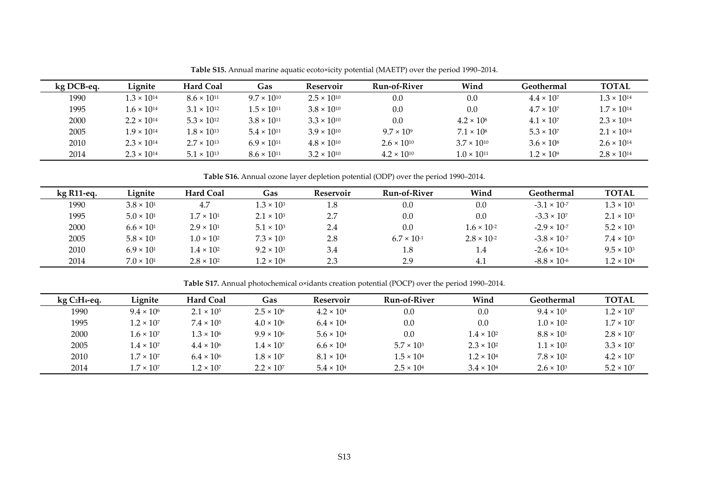| kg DCB-eq. | Lignite              | <b>Hard Coal</b>     | <b>Gas</b>           | <b>Reservoir</b>     | <b>Run-of-River</b>  | Wind                 | Geothermal          | <b>TOTAL</b>         |
|------------|----------------------|----------------------|----------------------|----------------------|----------------------|----------------------|---------------------|----------------------|
| 1990       | $1.3 \times 10^{14}$ | $8.6 \times 10^{11}$ | $9.7 \times 10^{10}$ | $2.5 \times 10^{10}$ | 0.0                  | 0.0                  | $4.4 \times 10^{7}$ | $1.3 \times 10^{14}$ |
| 1995       | $1.6 \times 10^{14}$ | $3.1 \times 10^{12}$ | $1.5 \times 10^{11}$ | $3.8 \times 10^{10}$ | 0.0                  | 0.0                  | $4.7 \times 10^{7}$ | $1.7 \times 10^{14}$ |
| 2000       | $2.2 \times 10^{14}$ | $5.3 \times 10^{12}$ | $3.8 \times 10^{11}$ | $3.3 \times 10^{10}$ | 0.0                  | $4.2 \times 10^8$    | $4.1 \times 10^{7}$ | $2.3 \times 10^{14}$ |
| 2005       | $1.9 \times 10^{14}$ | $1.8 \times 10^{13}$ | $5.4 \times 10^{11}$ | $3.9 \times 10^{10}$ | $9.7 \times 10^9$    | $7.1 \times 10^8$    | $5.3 \times 10^{7}$ | $2.1 \times 10^{14}$ |
| 2010       | $2.3 \times 10^{14}$ | $2.7 \times 10^{13}$ | $6.9 \times 10^{11}$ | $4.8 \times 10^{10}$ | $2.6 \times 10^{10}$ | $3.7 \times 10^{10}$ | $3.6 \times 10^8$   | $2.6 \times 10^{14}$ |
| 2014       | $2.3 \times 10^{14}$ | $5.1 \times 10^{13}$ | $8.6 \times 10^{11}$ | $3.2 \times 10^{10}$ | $4.2 \times 10^{10}$ | $1.0 \times 10^{11}$ | $1.2 \times 10^9$   | $2.8 \times 10^{14}$ |

**Table S15.** Annual marine aquatic ecoto×icity potential (MAETP) over the period 1990–2014.

**Table S16.** Annual ozone layer depletion potential (ODP) over the period 1990–2014.

| $kg$ R <sub>11</sub> -eq. | Lignite             | <b>Hard Coal</b>    | Gas                 | Reservoir | Run-of-River         | Wind                 | Geothermal            | <b>TOTAL</b>        |
|---------------------------|---------------------|---------------------|---------------------|-----------|----------------------|----------------------|-----------------------|---------------------|
| 1990                      | $3.8 \times 10^{1}$ | 4.7                 | $1.3 \times 10^{3}$ | 1.8       | 0.0                  | 0.0                  | $-3.1 \times 10^{-7}$ | $1.3 \times 10^{3}$ |
| 1995                      | $5.0 \times 10^{1}$ | $1.7 \times 10^{1}$ | $2.1 \times 10^{3}$ | 2.7       | $0.0\,$              | 0.0                  | $-3.3 \times 10^{7}$  | $2.1 \times 10^{3}$ |
| 2000                      | $6.6 \times 10^{1}$ | $2.9 \times 10^{1}$ | $5.1 \times 10^{3}$ | 2.4       | 0.0                  | $1.6 \times 10^{-2}$ | $-2.9 \times 10^{-7}$ | $5.2 \times 10^{3}$ |
| 2005                      | $5.8 \times 10^{1}$ | $1.0 \times 10^{2}$ | $7.3 \times 10^{3}$ | 2.8       | $6.7 \times 10^{-1}$ | $2.8 \times 10^{-2}$ | $-3.8 \times 10^{-7}$ | $7.4 \times 10^3$   |
| 2010                      | $6.9 \times 10^{1}$ | $1.4 \times 10^{2}$ | $9.2 \times 10^{3}$ | 3.4       | 1.8                  | 1.4                  | $-2.6 \times 10^{-6}$ | $9.5 \times 10^{3}$ |
| 2014                      | $7.0 \times 10^{1}$ | $2.8 \times 10^{2}$ | $1.2 \times 10^{4}$ | 2.3       | 2.9                  | 4.1                  | $-8.8 \times 10^{-6}$ | $1.2 \times 10^{4}$ |

**Table S17.** Annual photochemical o×idants creation potential (POCP) over the period 1990–2014.

| $kgC2H4$ -eq. | Lignite             | <b>Hard Coal</b>    | Gas                 | Reservoir           | Run-of-River        | Wind                | Geothermal          | <b>TOTAL</b>        |
|---------------|---------------------|---------------------|---------------------|---------------------|---------------------|---------------------|---------------------|---------------------|
| 1990          | $9.4 \times 10^{6}$ | $2.1 \times 10^{5}$ | $2.5 \times 10^{6}$ | $4.2 \times 10^{4}$ | 0.0                 | 0.0                 | $9.4 \times 10^{1}$ | $1.2 \times 10^{7}$ |
| 1995          | $1.2 \times 10^{7}$ | $7.4 \times 10^{5}$ | $4.0 \times 10^{6}$ | $6.4 \times 10^{4}$ | 0.0                 | 0.0                 | $1.0 \times 10^{2}$ | $1.7 \times 10^{7}$ |
| 2000          | $1.6 \times 10^{7}$ | $1.3 \times 10^{6}$ | $9.9 \times 10^{6}$ | $5.6 \times 10^{4}$ | 0.0                 | $1.4 \times 10^{2}$ | $8.8 \times 10^{1}$ | $2.8 \times 10^{7}$ |
| 2005          | $1.4 \times 10^{7}$ | $4.4 \times 10^{6}$ | $1.4 \times 10^{7}$ | $6.6 \times 10^{4}$ | $5.7 \times 10^{3}$ | $2.3 \times 10^{2}$ | $1.1 \times 10^{2}$ | $3.3 \times 10^{7}$ |
| 2010          | $1.7 \times 10^{7}$ | $6.4 \times 10^{6}$ | $1.8 \times 10^{7}$ | $8.1 \times 10^{4}$ | $1.5 \times 10^{4}$ | $1.2 \times 10^{4}$ | $7.8 \times 10^{2}$ | $4.2 \times 10^{7}$ |
| 2014          | $1.7 \times 10^{7}$ | $1.2 \times 10^{7}$ | $2.2 \times 10^{7}$ | $5.4 \times 10^{4}$ | $2.5 \times 10^{4}$ | $3.4 \times 10^{4}$ | $2.6 \times 10^{3}$ | $5.2 \times 10^{7}$ |